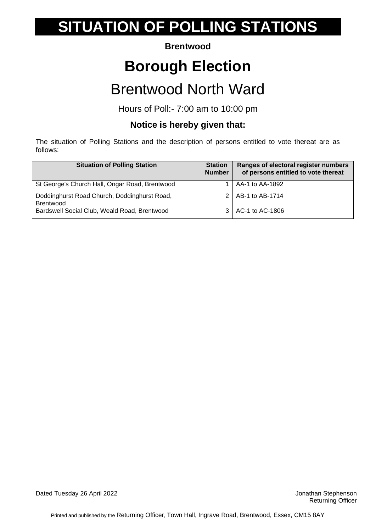#### **Brentwood**

## **Borough Election**

### Brentwood North Ward

Hours of Poll:- 7:00 am to 10:00 pm

### **Notice is hereby given that:**

The situation of Polling Stations and the description of persons entitled to vote thereat are as follows:

| <b>Situation of Polling Station</b>                              | <b>Station</b><br><b>Number</b> | Ranges of electoral register numbers<br>of persons entitled to vote thereat |
|------------------------------------------------------------------|---------------------------------|-----------------------------------------------------------------------------|
| St George's Church Hall, Ongar Road, Brentwood                   |                                 | $\vert$ AA-1 to AA-1892                                                     |
| Doddinghurst Road Church, Doddinghurst Road,<br><b>Brentwood</b> |                                 | 2   AB-1 to AB-1714                                                         |
| Bardswell Social Club, Weald Road, Brentwood                     |                                 | 3   AC-1 to AC-1806                                                         |

Dated Tuesday 26 April 2022 **Dated Tuesday 26 April 2022**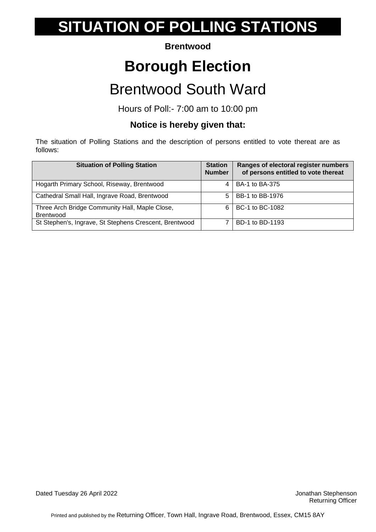#### **Brentwood**

## **Borough Election**

### Brentwood South Ward

Hours of Poll:- 7:00 am to 10:00 pm

### **Notice is hereby given that:**

| <b>Situation of Polling Station</b>                                | <b>Station</b><br><b>Number</b> | Ranges of electoral register numbers<br>of persons entitled to vote thereat |
|--------------------------------------------------------------------|---------------------------------|-----------------------------------------------------------------------------|
| Hogarth Primary School, Riseway, Brentwood                         |                                 | BA-1 to BA-375                                                              |
| Cathedral Small Hall, Ingrave Road, Brentwood                      | 5                               | BB-1 to BB-1976                                                             |
| Three Arch Bridge Community Hall, Maple Close,<br><b>Brentwood</b> | 6                               | BC-1 to BC-1082                                                             |
| St Stephen's, Ingrave, St Stephens Crescent, Brentwood             |                                 | BD-1 to BD-1193                                                             |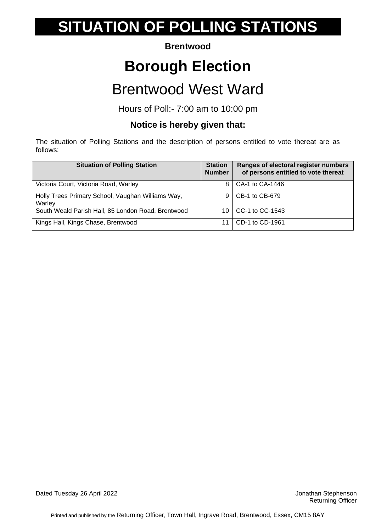#### **Brentwood**

## **Borough Election**

### Brentwood West Ward

Hours of Poll:- 7:00 am to 10:00 pm

### **Notice is hereby given that:**

| <b>Situation of Polling Station</b>                         | <b>Station</b><br><b>Number</b> | Ranges of electoral register numbers<br>of persons entitled to vote thereat |
|-------------------------------------------------------------|---------------------------------|-----------------------------------------------------------------------------|
| Victoria Court, Victoria Road, Warley                       | 8                               | CA-1 to CA-1446                                                             |
| Holly Trees Primary School, Vaughan Williams Way,<br>Warley | 9                               | CB-1 to CB-679                                                              |
| South Weald Parish Hall, 85 London Road, Brentwood          | 10                              | CC-1 to CC-1543                                                             |
| Kings Hall, Kings Chase, Brentwood                          |                                 | CD-1 to CD-1961                                                             |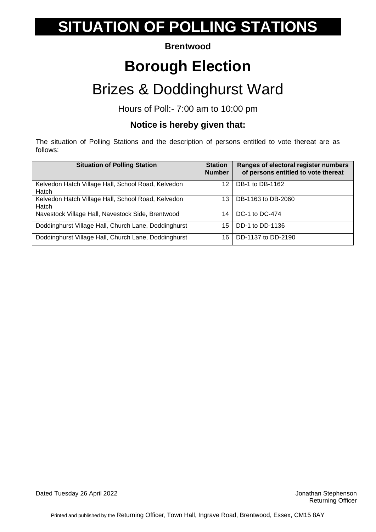### **Brentwood**

## **Borough Election**

## Brizes & Doddinghurst Ward

Hours of Poll:- 7:00 am to 10:00 pm

### **Notice is hereby given that:**

The situation of Polling Stations and the description of persons entitled to vote thereat are as follows:

| <b>Situation of Polling Station</b>                         | <b>Station</b><br><b>Number</b> | Ranges of electoral register numbers<br>of persons entitled to vote thereat |
|-------------------------------------------------------------|---------------------------------|-----------------------------------------------------------------------------|
| Kelvedon Hatch Village Hall, School Road, Kelvedon<br>Hatch | 12                              | DB-1 to DB-1162                                                             |
| Kelvedon Hatch Village Hall, School Road, Kelvedon<br>Hatch | 13                              | DB-1163 to DB-2060                                                          |
| Navestock Village Hall, Navestock Side, Brentwood           | 14                              | DC-1 to DC-474                                                              |
| Doddinghurst Village Hall, Church Lane, Doddinghurst        | 15                              | DD-1 to DD-1136                                                             |
| Doddinghurst Village Hall, Church Lane, Doddinghurst        | 16                              | DD-1137 to DD-2190                                                          |

Dated Tuesday 26 April 2022 **Stated Tuesday 26 April 2022** Jonathan Stephenson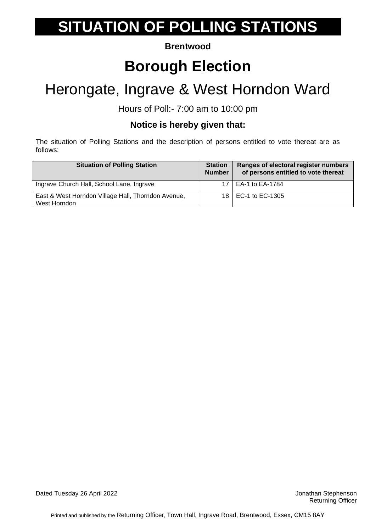### **Brentwood**

## **Borough Election**

## Herongate, Ingrave & West Horndon Ward

Hours of Poll:- 7:00 am to 10:00 pm

### **Notice is hereby given that:**

| <b>Situation of Polling Station</b>                                | <b>Station</b><br><b>Number</b> | Ranges of electoral register numbers<br>of persons entitled to vote thereat |
|--------------------------------------------------------------------|---------------------------------|-----------------------------------------------------------------------------|
| Ingrave Church Hall, School Lane, Ingrave                          |                                 | EA-1 to EA-1784                                                             |
| East & West Horndon Village Hall, Thorndon Avenue,<br>West Horndon | 18 I                            | EC-1 to EC-1305                                                             |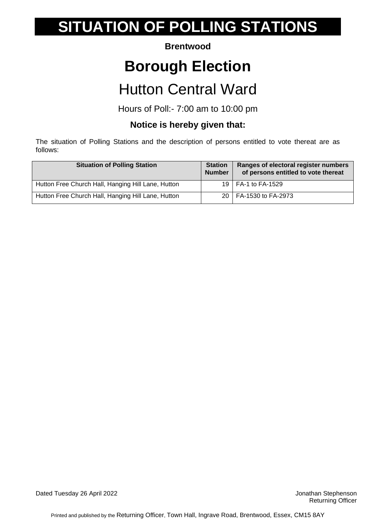### **Brentwood**

## **Borough Election**

### Hutton Central Ward

Hours of Poll:- 7:00 am to 10:00 pm

### **Notice is hereby given that:**

| <b>Situation of Polling Station</b>                | <b>Station</b><br><b>Number</b> | Ranges of electoral register numbers<br>of persons entitled to vote thereat |
|----------------------------------------------------|---------------------------------|-----------------------------------------------------------------------------|
| Hutton Free Church Hall, Hanging Hill Lane, Hutton |                                 | 19   FA-1 to FA-1529                                                        |
| Hutton Free Church Hall, Hanging Hill Lane, Hutton |                                 | 20   FA-1530 to FA-2973                                                     |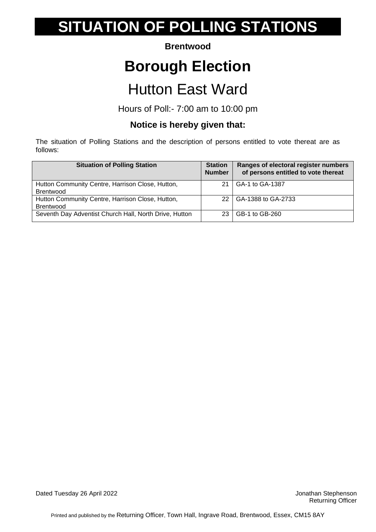#### **Brentwood**

## **Borough Election**

### Hutton East Ward

Hours of Poll:- 7:00 am to 10:00 pm

### **Notice is hereby given that:**

The situation of Polling Stations and the description of persons entitled to vote thereat are as follows:

| <b>Situation of Polling Station</b>                                  | <b>Station</b><br><b>Number</b> | Ranges of electoral register numbers<br>of persons entitled to vote thereat |
|----------------------------------------------------------------------|---------------------------------|-----------------------------------------------------------------------------|
| Hutton Community Centre, Harrison Close, Hutton,<br><b>Brentwood</b> | 21                              | GA-1 to GA-1387                                                             |
| Hutton Community Centre, Harrison Close, Hutton,<br><b>Brentwood</b> | 22                              | GA-1388 to GA-2733                                                          |
| Seventh Day Adventist Church Hall, North Drive, Hutton               |                                 | GB-1 to GB-260                                                              |

Dated Tuesday 26 April 2022 **Dated Tuesday 26 April 2022**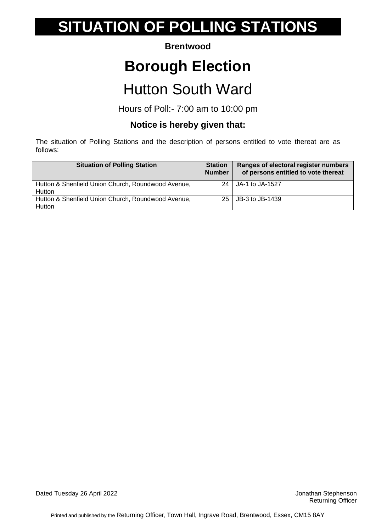### **Brentwood**

## **Borough Election**

## Hutton South Ward

Hours of Poll:- 7:00 am to 10:00 pm

### **Notice is hereby given that:**

The situation of Polling Stations and the description of persons entitled to vote thereat are as follows:

| <b>Situation of Polling Station</b>                          | <b>Station</b><br><b>Number</b> | Ranges of electoral register numbers<br>of persons entitled to vote thereat |
|--------------------------------------------------------------|---------------------------------|-----------------------------------------------------------------------------|
| Hutton & Shenfield Union Church, Roundwood Avenue,<br>Hutton | 24                              | JA-1 to JA-1527                                                             |
| Hutton & Shenfield Union Church, Roundwood Avenue,<br>Hutton | 25                              | JB-3 to JB-1439                                                             |

Dated Tuesday 26 April 2022 **Dated Tuesday 26 April 2022**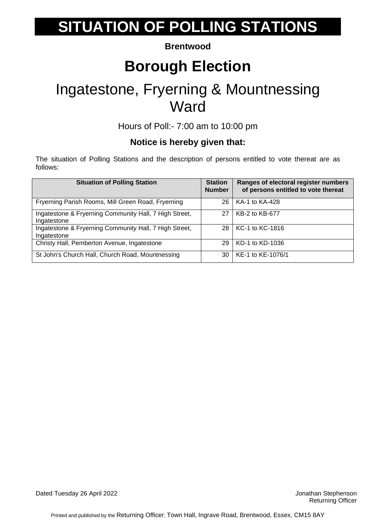#### **Brentwood**

## **Borough Election**

### Ingatestone, Fryerning & Mountnessing **Ward**

Hours of Poll:- 7:00 am to 10:00 pm

### **Notice is hereby given that:**

| <b>Situation of Polling Station</b>                                   | <b>Station</b><br><b>Number</b> | Ranges of electoral register numbers<br>of persons entitled to vote thereat |
|-----------------------------------------------------------------------|---------------------------------|-----------------------------------------------------------------------------|
| Fryerning Parish Rooms, Mill Green Road, Fryerning                    | 26                              | KA-1 to KA-428                                                              |
| Ingatestone & Fryerning Community Hall, 7 High Street,<br>Ingatestone | 27                              | KB-2 to KB-677                                                              |
| Ingatestone & Fryerning Community Hall, 7 High Street,<br>Ingatestone | 28                              | KC-1 to KC-1816                                                             |
| Christy Hall, Pemberton Avenue, Ingatestone                           | 29                              | KD-1 to KD-1036                                                             |
| St John's Church Hall, Church Road, Mountnessing                      | 30                              | KE-1 to KE-1076/1                                                           |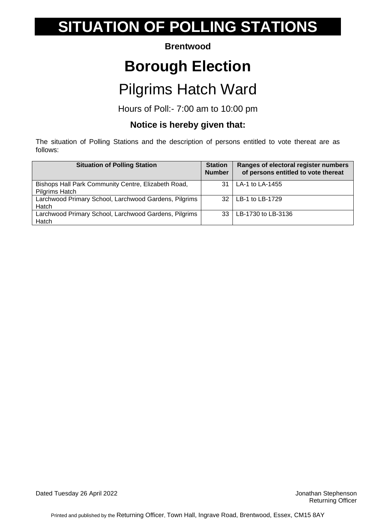#### **Brentwood**

## **Borough Election**

## Pilgrims Hatch Ward

Hours of Poll:- 7:00 am to 10:00 pm

### **Notice is hereby given that:**

| <b>Situation of Polling Station</b>                                   | <b>Station</b><br><b>Number</b> | Ranges of electoral register numbers<br>of persons entitled to vote thereat |
|-----------------------------------------------------------------------|---------------------------------|-----------------------------------------------------------------------------|
| Bishops Hall Park Community Centre, Elizabeth Road,<br>Pilgrims Hatch | 31                              | LA-1 to LA-1455                                                             |
| Larchwood Primary School, Larchwood Gardens, Pilgrims<br>Hatch        | 32                              | LB-1 to LB-1729                                                             |
| Larchwood Primary School, Larchwood Gardens, Pilgrims<br>Hatch        | 33                              | LB-1730 to LB-3136                                                          |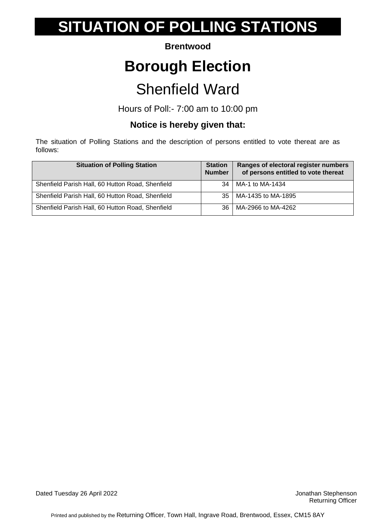#### **Brentwood**

## **Borough Election**

### Shenfield Ward

Hours of Poll:- 7:00 am to 10:00 pm

### **Notice is hereby given that:**

| <b>Situation of Polling Station</b>              | <b>Station</b><br><b>Number</b> | Ranges of electoral register numbers<br>of persons entitled to vote thereat |
|--------------------------------------------------|---------------------------------|-----------------------------------------------------------------------------|
| Shenfield Parish Hall, 60 Hutton Road, Shenfield | 34                              | MA-1 to MA-1434                                                             |
| Shenfield Parish Hall, 60 Hutton Road, Shenfield | 35                              | MA-1435 to MA-1895                                                          |
| Shenfield Parish Hall, 60 Hutton Road, Shenfield | 36                              | MA-2966 to MA-4262                                                          |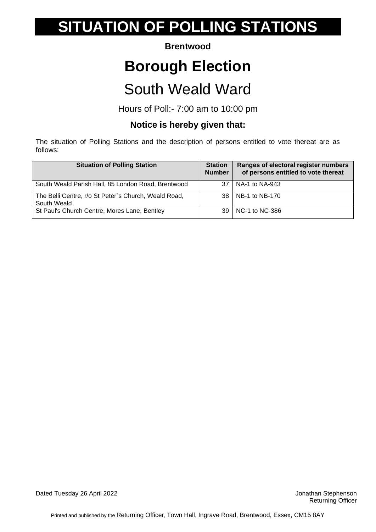#### **Brentwood**

## **Borough Election**

## South Weald Ward

Hours of Poll:- 7:00 am to 10:00 pm

### **Notice is hereby given that:**

| <b>Situation of Polling Station</b>                                 | <b>Station</b><br><b>Number</b> | Ranges of electoral register numbers<br>of persons entitled to vote thereat |
|---------------------------------------------------------------------|---------------------------------|-----------------------------------------------------------------------------|
| South Weald Parish Hall, 85 London Road, Brentwood                  | 37                              | NA-1 to NA-943                                                              |
| The Belli Centre, r/o St Peter's Church, Weald Road,<br>South Weald |                                 | 38   NB-1 to NB-170                                                         |
| St Paul's Church Centre, Mores Lane, Bentley                        | 39                              | $N$ C-1 to NC-386                                                           |